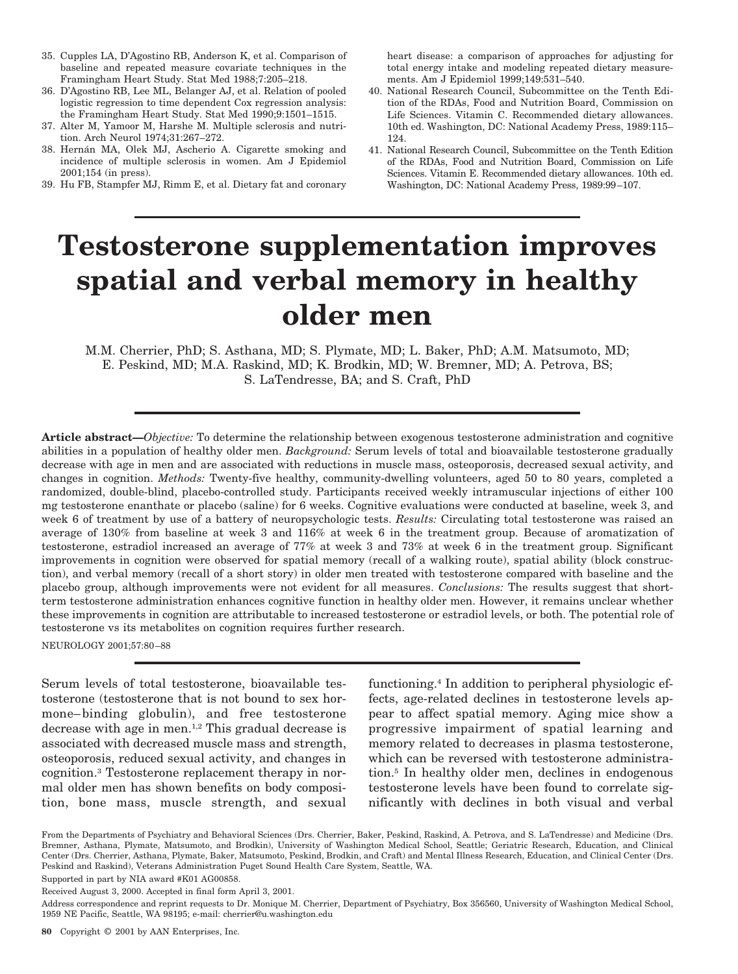- 35. Cupples LA, D'Agostino RB, Anderson K, et al. Comparison of baseline and repeated measure covariate techniques in the Framingham Heart Study. Stat Med 1988;7:205–218.
- 36. D'Agostino RB, Lee ML, Belanger AJ, et al. Relation of pooled logistic regression to time dependent Cox regression analysis: the Framingham Heart Study. Stat Med 1990;9:1501–1515.
- 37. Alter M, Yamoor M, Harshe M. Multiple sclerosis and nutrition. Arch Neurol 1974;31:267–272.
- 38. Hernán MA, Olek MJ, Ascherio A. Cigarette smoking and incidence of multiple sclerosis in women. Am J Epidemiol 2001;154 (in press).
- 39. Hu FB, Stampfer MJ, Rimm E, et al. Dietary fat and coronary

heart disease: a comparison of approaches for adjusting for total energy intake and modeling repeated dietary measurements. Am J Epidemiol 1999;149:531–540.

- 40. National Research Council, Subcommittee on the Tenth Edition of the RDAs, Food and Nutrition Board, Commission on Life Sciences. Vitamin C. Recommended dietary allowances. 10th ed. Washington, DC: National Academy Press, 1989:115– 124.
- 41. National Research Council, Subcommittee on the Tenth Edition of the RDAs, Food and Nutrition Board, Commission on Life Sciences. Vitamin E. Recommended dietary allowances. 10th ed. Washington, DC: National Academy Press, 1989:99–107.

## **Testosterone supplementation improves spatial and verbal memory in healthy older men**

M.M. Cherrier, PhD; S. Asthana, MD; S. Plymate, MD; L. Baker, PhD; A.M. Matsumoto, MD; E. Peskind, MD; M.A. Raskind, MD; K. Brodkin, MD; W. Bremner, MD; A. Petrova, BS; S. LaTendresse, BA; and S. Craft, PhD

**Article abstract—***Objective:* To determine the relationship between exogenous testosterone administration and cognitive abilities in a population of healthy older men. *Background:* Serum levels of total and bioavailable testosterone gradually decrease with age in men and are associated with reductions in muscle mass, osteoporosis, decreased sexual activity, and changes in cognition. *Methods:* Twenty-five healthy, community-dwelling volunteers, aged 50 to 80 years, completed a randomized, double-blind, placebo-controlled study. Participants received weekly intramuscular injections of either 100 mg testosterone enanthate or placebo (saline) for 6 weeks. Cognitive evaluations were conducted at baseline, week 3, and week 6 of treatment by use of a battery of neuropsychologic tests. *Results:* Circulating total testosterone was raised an average of 130% from baseline at week 3 and 116% at week 6 in the treatment group. Because of aromatization of testosterone, estradiol increased an average of 77% at week 3 and 73% at week 6 in the treatment group. Significant improvements in cognition were observed for spatial memory (recall of a walking route), spatial ability (block construction), and verbal memory (recall of a short story) in older men treated with testosterone compared with baseline and the placebo group, although improvements were not evident for all measures. *Conclusions:* The results suggest that shortterm testosterone administration enhances cognitive function in healthy older men. However, it remains unclear whether these improvements in cognition are attributable to increased testosterone or estradiol levels, or both. The potential role of testosterone vs its metabolites on cognition requires further research.

NEUROLOGY 2001;57:80–88

Serum levels of total testosterone, bioavailable testosterone (testosterone that is not bound to sex hormone–binding globulin), and free testosterone decrease with age in men.1,2 This gradual decrease is associated with decreased muscle mass and strength, osteoporosis, reduced sexual activity, and changes in cognition.3 Testosterone replacement therapy in normal older men has shown benefits on body composition, bone mass, muscle strength, and sexual

functioning.4 In addition to peripheral physiologic effects, age-related declines in testosterone levels appear to affect spatial memory. Aging mice show a progressive impairment of spatial learning and memory related to decreases in plasma testosterone, which can be reversed with testosterone administration.5 In healthy older men, declines in endogenous testosterone levels have been found to correlate significantly with declines in both visual and verbal

Address correspondence and reprint requests to Dr. Monique M. Cherrier, Department of Psychiatry, Box 356560, University of Washington Medical School, 1959 NE Pacific, Seattle, WA 98195; e-mail: cherrier@u.washington.edu

From the Departments of Psychiatry and Behavioral Sciences (Drs. Cherrier, Baker, Peskind, Raskind, A. Petrova, and S. LaTendresse) and Medicine (Drs. Bremner, Asthana, Plymate, Matsumoto, and Brodkin), University of Washington Medical School, Seattle; Geriatric Research, Education, and Clinical Center (Drs. Cherrier, Asthana, Plymate, Baker, Matsumoto, Peskind, Brodkin, and Craft) and Mental Illness Research, Education, and Clinical Center (Drs. Peskind and Raskind), Veterans Administration Puget Sound Health Care System, Seattle, WA.

Supported in part by NIA award #K01 AG00858.

Received August 3, 2000. Accepted in final form April 3, 2001.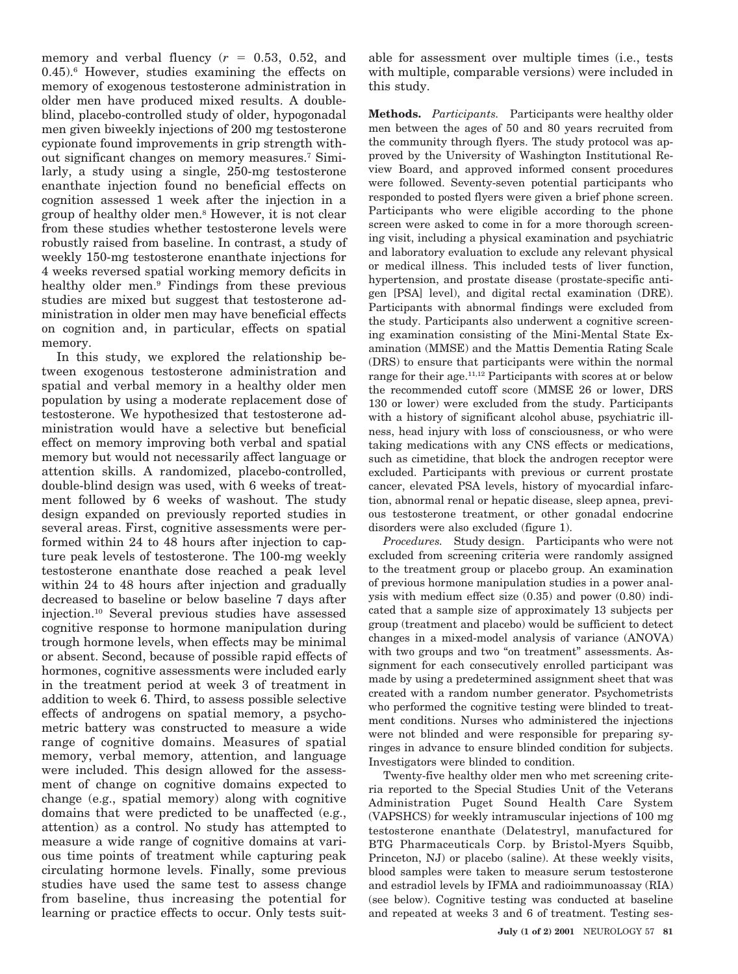memory and verbal fluency  $(r = 0.53, 0.52,$  and  $0.45$ .<sup>6</sup> However, studies examining the effects on memory of exogenous testosterone administration in older men have produced mixed results. A doubleblind, placebo-controlled study of older, hypogonadal men given biweekly injections of 200 mg testosterone cypionate found improvements in grip strength without significant changes on memory measures.7 Similarly, a study using a single, 250-mg testosterone enanthate injection found no beneficial effects on cognition assessed 1 week after the injection in a group of healthy older men.8 However, it is not clear from these studies whether testosterone levels were robustly raised from baseline. In contrast, a study of weekly 150-mg testosterone enanthate injections for 4 weeks reversed spatial working memory deficits in healthy older men.<sup>9</sup> Findings from these previous studies are mixed but suggest that testosterone administration in older men may have beneficial effects on cognition and, in particular, effects on spatial memory.

In this study, we explored the relationship between exogenous testosterone administration and spatial and verbal memory in a healthy older men population by using a moderate replacement dose of testosterone. We hypothesized that testosterone administration would have a selective but beneficial effect on memory improving both verbal and spatial memory but would not necessarily affect language or attention skills. A randomized, placebo-controlled, double-blind design was used, with 6 weeks of treatment followed by 6 weeks of washout. The study design expanded on previously reported studies in several areas. First, cognitive assessments were performed within 24 to 48 hours after injection to capture peak levels of testosterone. The 100-mg weekly testosterone enanthate dose reached a peak level within 24 to 48 hours after injection and gradually decreased to baseline or below baseline 7 days after injection.10 Several previous studies have assessed cognitive response to hormone manipulation during trough hormone levels, when effects may be minimal or absent. Second, because of possible rapid effects of hormones, cognitive assessments were included early in the treatment period at week 3 of treatment in addition to week 6. Third, to assess possible selective effects of androgens on spatial memory, a psychometric battery was constructed to measure a wide range of cognitive domains. Measures of spatial memory, verbal memory, attention, and language were included. This design allowed for the assessment of change on cognitive domains expected to change (e.g., spatial memory) along with cognitive domains that were predicted to be unaffected (e.g., attention) as a control. No study has attempted to measure a wide range of cognitive domains at various time points of treatment while capturing peak circulating hormone levels. Finally, some previous studies have used the same test to assess change from baseline, thus increasing the potential for learning or practice effects to occur. Only tests suitable for assessment over multiple times (i.e., tests with multiple, comparable versions) were included in this study.

**Methods.** *Participants.* Participants were healthy older men between the ages of 50 and 80 years recruited from the community through flyers. The study protocol was approved by the University of Washington Institutional Review Board, and approved informed consent procedures were followed. Seventy-seven potential participants who responded to posted flyers were given a brief phone screen. Participants who were eligible according to the phone screen were asked to come in for a more thorough screening visit, including a physical examination and psychiatric and laboratory evaluation to exclude any relevant physical or medical illness. This included tests of liver function, hypertension, and prostate disease (prostate-specific antigen [PSA] level), and digital rectal examination (DRE). Participants with abnormal findings were excluded from the study. Participants also underwent a cognitive screening examination consisting of the Mini-Mental State Examination (MMSE) and the Mattis Dementia Rating Scale (DRS) to ensure that participants were within the normal range for their age.11,12 Participants with scores at or below the recommended cutoff score (MMSE 26 or lower, DRS 130 or lower) were excluded from the study. Participants with a history of significant alcohol abuse, psychiatric illness, head injury with loss of consciousness, or who were taking medications with any CNS effects or medications, such as cimetidine, that block the androgen receptor were excluded. Participants with previous or current prostate cancer, elevated PSA levels, history of myocardial infarction, abnormal renal or hepatic disease, sleep apnea, previous testosterone treatment, or other gonadal endocrine disorders were also excluded (figure 1).

*Procedures.* Study design. Participants who were not excluded from screening criteria were randomly assigned to the treatment group or placebo group. An examination of previous hormone manipulation studies in a power analysis with medium effect size (0.35) and power (0.80) indicated that a sample size of approximately 13 subjects per group (treatment and placebo) would be sufficient to detect changes in a mixed-model analysis of variance (ANOVA) with two groups and two "on treatment" assessments. Assignment for each consecutively enrolled participant was made by using a predetermined assignment sheet that was created with a random number generator. Psychometrists who performed the cognitive testing were blinded to treatment conditions. Nurses who administered the injections were not blinded and were responsible for preparing syringes in advance to ensure blinded condition for subjects. Investigators were blinded to condition.

Twenty-five healthy older men who met screening criteria reported to the Special Studies Unit of the Veterans Administration Puget Sound Health Care System (VAPSHCS) for weekly intramuscular injections of 100 mg testosterone enanthate (Delatestryl, manufactured for BTG Pharmaceuticals Corp. by Bristol-Myers Squibb, Princeton, NJ) or placebo (saline). At these weekly visits, blood samples were taken to measure serum testosterone and estradiol levels by IFMA and radioimmunoassay (RIA) (see below). Cognitive testing was conducted at baseline and repeated at weeks 3 and 6 of treatment. Testing ses-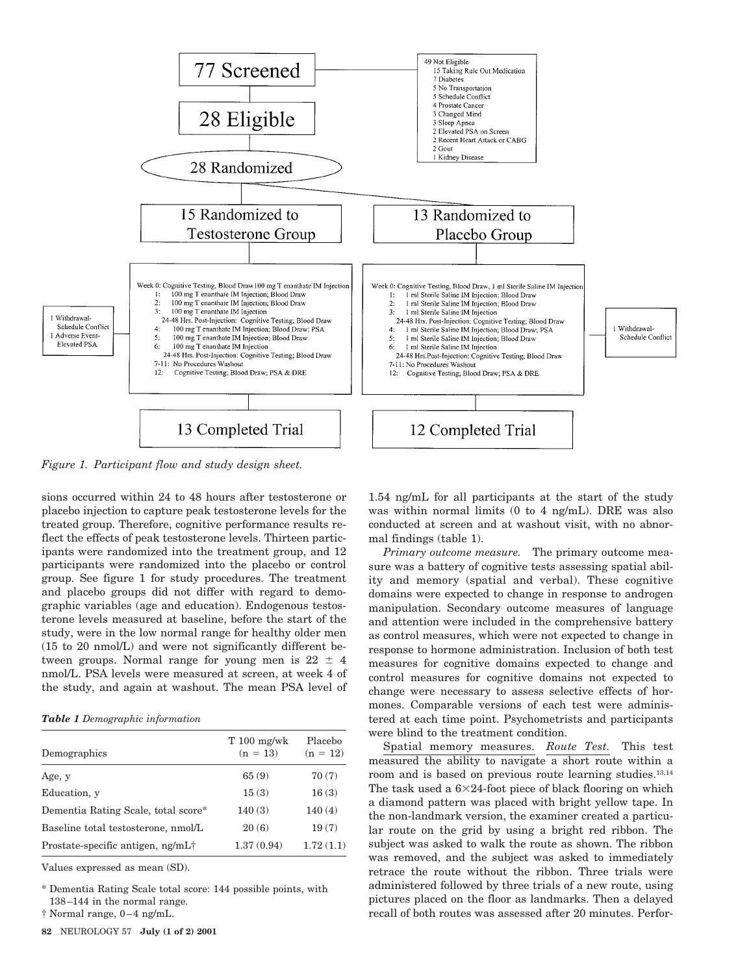

*Figure 1. Participant flow and study design sheet.*

sions occurred within 24 to 48 hours after testosterone or placebo injection to capture peak testosterone levels for the treated group. Therefore, cognitive performance results reflect the effects of peak testosterone levels. Thirteen participants were randomized into the treatment group, and 12 participants were randomized into the placebo or control group. See figure 1 for study procedures. The treatment and placebo groups did not differ with regard to demographic variables (age and education). Endogenous testosterone levels measured at baseline, before the start of the study, were in the low normal range for healthy older men (15 to 20 nmol/L) and were not significantly different between groups. Normal range for young men is  $22 \pm 4$ nmol/L. PSA levels were measured at screen, at week 4 of the study, and again at washout. The mean PSA level of

*Table 1 Demographic information*

| Demographics                        | $T100$ mg/wk<br>$(n = 13)$ | Placebo<br>$(n = 12)$ |
|-------------------------------------|----------------------------|-----------------------|
| Age, y                              | 65(9)                      | 70(7)                 |
| Education, y                        | 15(3)                      | 16(3)                 |
| Dementia Rating Scale, total score* | 140(3)                     | 140(4)                |
| Baseline total testosterone, nmol/L | 20(6)                      | 19(7)                 |
| Prostate-specific antigen, ng/mL†   | 1.37(0.94)                 | 1.72(1.1)             |

Values expressed as mean (SD).

\* Dementia Rating Scale total score: 144 possible points, with 138–144 in the normal range.

† Normal range, 0–4 ng/mL.

1.54 ng/mL for all participants at the start of the study was within normal limits (0 to 4 ng/mL). DRE was also conducted at screen and at washout visit, with no abnormal findings (table 1).

*Primary outcome measure.* The primary outcome measure was a battery of cognitive tests assessing spatial ability and memory (spatial and verbal). These cognitive domains were expected to change in response to androgen manipulation. Secondary outcome measures of language and attention were included in the comprehensive battery as control measures, which were not expected to change in response to hormone administration. Inclusion of both test measures for cognitive domains expected to change and control measures for cognitive domains not expected to change were necessary to assess selective effects of hormones. Comparable versions of each test were administered at each time point. Psychometrists and participants were blind to the treatment condition.

Spatial memory measures. *Route Test.* This test measured the ability to navigate a short route within a room and is based on previous route learning studies.13,14 The task used a  $6\times24$ -foot piece of black flooring on which a diamond pattern was placed with bright yellow tape. In the non-landmark version, the examiner created a particular route on the grid by using a bright red ribbon. The subject was asked to walk the route as shown. The ribbon was removed, and the subject was asked to immediately retrace the route without the ribbon. Three trials were administered followed by three trials of a new route, using pictures placed on the floor as landmarks. Then a delayed recall of both routes was assessed after 20 minutes. Perfor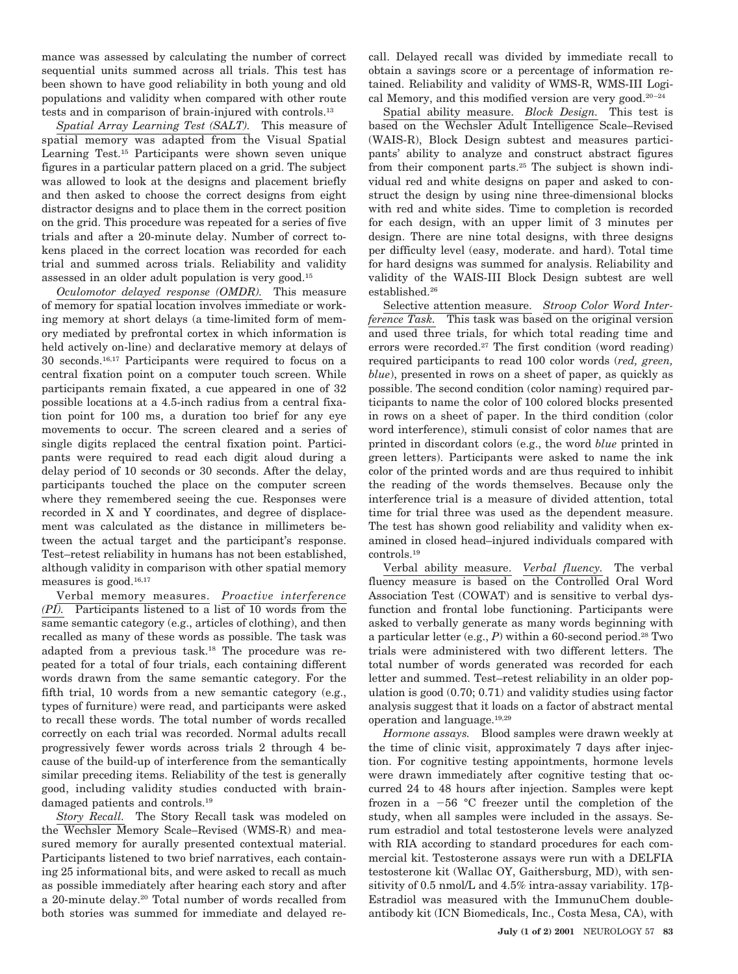mance was assessed by calculating the number of correct sequential units summed across all trials. This test has been shown to have good reliability in both young and old populations and validity when compared with other route tests and in comparison of brain-injured with controls.13

*Spatial Array Learning Test (SALT).* This measure of spatial memory was adapted from the Visual Spatial Learning Test.15 Participants were shown seven unique figures in a particular pattern placed on a grid. The subject was allowed to look at the designs and placement briefly and then asked to choose the correct designs from eight distractor designs and to place them in the correct position on the grid. This procedure was repeated for a series of five trials and after a 20-minute delay. Number of correct tokens placed in the correct location was recorded for each trial and summed across trials. Reliability and validity assessed in an older adult population is very good.15

*Oculomotor delayed response (OMDR).* This measure of memory for spatial location involves immediate or working memory at short delays (a time-limited form of memory mediated by prefrontal cortex in which information is held actively on-line) and declarative memory at delays of 30 seconds.16,17 Participants were required to focus on a central fixation point on a computer touch screen. While participants remain fixated, a cue appeared in one of 32 possible locations at a 4.5-inch radius from a central fixation point for 100 ms, a duration too brief for any eye movements to occur. The screen cleared and a series of single digits replaced the central fixation point. Participants were required to read each digit aloud during a delay period of 10 seconds or 30 seconds. After the delay, participants touched the place on the computer screen where they remembered seeing the cue. Responses were recorded in X and Y coordinates, and degree of displacement was calculated as the distance in millimeters between the actual target and the participant's response. Test–retest reliability in humans has not been established, although validity in comparison with other spatial memory measures is good.<sup>16,17</sup>

Verbal memory measures. *Proactive interference (PI).* Participants listened to a list of 10 words from the same semantic category (e.g., articles of clothing), and then recalled as many of these words as possible. The task was adapted from a previous task.18 The procedure was repeated for a total of four trials, each containing different words drawn from the same semantic category. For the fifth trial, 10 words from a new semantic category (e.g., types of furniture) were read, and participants were asked to recall these words. The total number of words recalled correctly on each trial was recorded. Normal adults recall progressively fewer words across trials 2 through 4 because of the build-up of interference from the semantically similar preceding items. Reliability of the test is generally good, including validity studies conducted with braindamaged patients and controls.19

*Story Recall.* The Story Recall task was modeled on the Wechsler Memory Scale–Revised (WMS-R) and measured memory for aurally presented contextual material. Participants listened to two brief narratives, each containing 25 informational bits, and were asked to recall as much as possible immediately after hearing each story and after a 20-minute delay.20 Total number of words recalled from both stories was summed for immediate and delayed recall. Delayed recall was divided by immediate recall to obtain a savings score or a percentage of information retained. Reliability and validity of WMS-R, WMS-III Logical Memory, and this modified version are very good.<sup>20-24</sup>

Spatial ability measure. *Block Design.* This test is based on the Wechsler Adult Intelligence Scale–Revised (WAIS-R), Block Design subtest and measures participants' ability to analyze and construct abstract figures from their component parts.25 The subject is shown individual red and white designs on paper and asked to construct the design by using nine three-dimensional blocks with red and white sides. Time to completion is recorded for each design, with an upper limit of 3 minutes per design. There are nine total designs, with three designs per difficulty level (easy, moderate. and hard). Total time for hard designs was summed for analysis. Reliability and validity of the WAIS-III Block Design subtest are well established.26

Selective attention measure. *Stroop Color Word Interference Task.* This task was based on the original version and used three trials, for which total reading time and errors were recorded.27 The first condition (word reading) required participants to read 100 color words (*red, green, blue*), presented in rows on a sheet of paper, as quickly as possible. The second condition (color naming) required participants to name the color of 100 colored blocks presented in rows on a sheet of paper. In the third condition (color word interference), stimuli consist of color names that are printed in discordant colors (e.g., the word *blue* printed in green letters). Participants were asked to name the ink color of the printed words and are thus required to inhibit the reading of the words themselves. Because only the interference trial is a measure of divided attention, total time for trial three was used as the dependent measure. The test has shown good reliability and validity when examined in closed head–injured individuals compared with controls.19

Verbal ability measure. *Verbal fluency.* The verbal fluency measure is based on the Controlled Oral Word Association Test (COWAT) and is sensitive to verbal dysfunction and frontal lobe functioning. Participants were asked to verbally generate as many words beginning with a particular letter (e.g., *P*) within a 60-second period.28 Two trials were administered with two different letters. The total number of words generated was recorded for each letter and summed. Test–retest reliability in an older population is good (0.70; 0.71) and validity studies using factor analysis suggest that it loads on a factor of abstract mental operation and language.19,29

*Hormone assays.* Blood samples were drawn weekly at the time of clinic visit, approximately 7 days after injection. For cognitive testing appointments, hormone levels were drawn immediately after cognitive testing that occurred 24 to 48 hours after injection. Samples were kept frozen in a  $-56$  °C freezer until the completion of the study, when all samples were included in the assays. Serum estradiol and total testosterone levels were analyzed with RIA according to standard procedures for each commercial kit. Testosterone assays were run with a DELFIA testosterone kit (Wallac OY, Gaithersburg, MD), with sensitivity of 0.5 nmol/L and 4.5% intra-assay variability. 17 $\beta$ -Estradiol was measured with the ImmunuChem doubleantibody kit (ICN Biomedicals, Inc., Costa Mesa, CA), with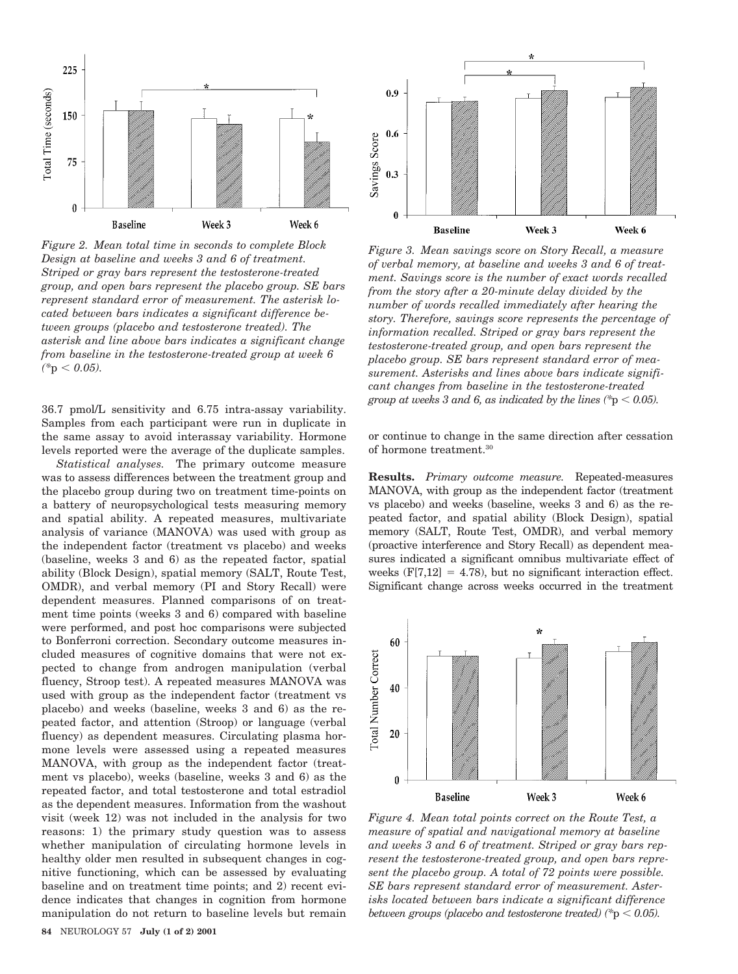

*Figure 2. Mean total time in seconds to complete Block Design at baseline and weeks 3 and 6 of treatment. Striped or gray bars represent the testosterone-treated group, and open bars represent the placebo group. SE bars represent standard error of measurement. The asterisk located between bars indicates a significant difference between groups (placebo and testosterone treated). The asterisk and line above bars indicates a significant change from baseline in the testosterone-treated group at week 6*  $(*p < 0.05).$ 

36.7 pmol/L sensitivity and 6.75 intra-assay variability. Samples from each participant were run in duplicate in the same assay to avoid interassay variability. Hormone levels reported were the average of the duplicate samples.

*Statistical analyses.* The primary outcome measure was to assess differences between the treatment group and the placebo group during two on treatment time-points on a battery of neuropsychological tests measuring memory and spatial ability. A repeated measures, multivariate analysis of variance (MANOVA) was used with group as the independent factor (treatment vs placebo) and weeks (baseline, weeks 3 and 6) as the repeated factor, spatial ability (Block Design), spatial memory (SALT, Route Test, OMDR), and verbal memory (PI and Story Recall) were dependent measures. Planned comparisons of on treatment time points (weeks 3 and 6) compared with baseline were performed, and post hoc comparisons were subjected to Bonferroni correction. Secondary outcome measures included measures of cognitive domains that were not expected to change from androgen manipulation (verbal fluency, Stroop test). A repeated measures MANOVA was used with group as the independent factor (treatment vs placebo) and weeks (baseline, weeks 3 and 6) as the repeated factor, and attention (Stroop) or language (verbal fluency) as dependent measures. Circulating plasma hormone levels were assessed using a repeated measures MANOVA, with group as the independent factor (treatment vs placebo), weeks (baseline, weeks 3 and 6) as the repeated factor, and total testosterone and total estradiol as the dependent measures. Information from the washout visit (week 12) was not included in the analysis for two reasons: 1) the primary study question was to assess whether manipulation of circulating hormone levels in healthy older men resulted in subsequent changes in cognitive functioning, which can be assessed by evaluating baseline and on treatment time points; and 2) recent evidence indicates that changes in cognition from hormone manipulation do not return to baseline levels but remain



*Figure 3. Mean savings score on Story Recall, a measure of verbal memory, at baseline and weeks 3 and 6 of treatment. Savings score is the number of exact words recalled from the story after a 20-minute delay divided by the number of words recalled immediately after hearing the story. Therefore, savings score represents the percentage of information recalled. Striped or gray bars represent the testosterone-treated group, and open bars represent the placebo group. SE bars represent standard error of measurement. Asterisks and lines above bars indicate significant changes from baseline in the testosterone-treated group at weeks 3 and 6, as indicated by the lines (\*p*  $< 0.05$ *).* 

or continue to change in the same direction after cessation of hormone treatment.30

**Results.** *Primary outcome measure.* Repeated-measures MANOVA, with group as the independent factor (treatment vs placebo) and weeks (baseline, weeks 3 and 6) as the repeated factor, and spatial ability (Block Design), spatial memory (SALT, Route Test, OMDR), and verbal memory (proactive interference and Story Recall) as dependent measures indicated a significant omnibus multivariate effect of weeks  $(F[7,12] = 4.78)$ , but no significant interaction effect. Significant change across weeks occurred in the treatment



*Figure 4. Mean total points correct on the Route Test, a measure of spatial and navigational memory at baseline and weeks 3 and 6 of treatment. Striped or gray bars represent the testosterone-treated group, and open bars represent the placebo group. A total of 72 points were possible. SE bars represent standard error of measurement. Asterisks located between bars indicate a significant difference between groups (placebo and testosterone treated)* ( $p$   $\leq$  0.05).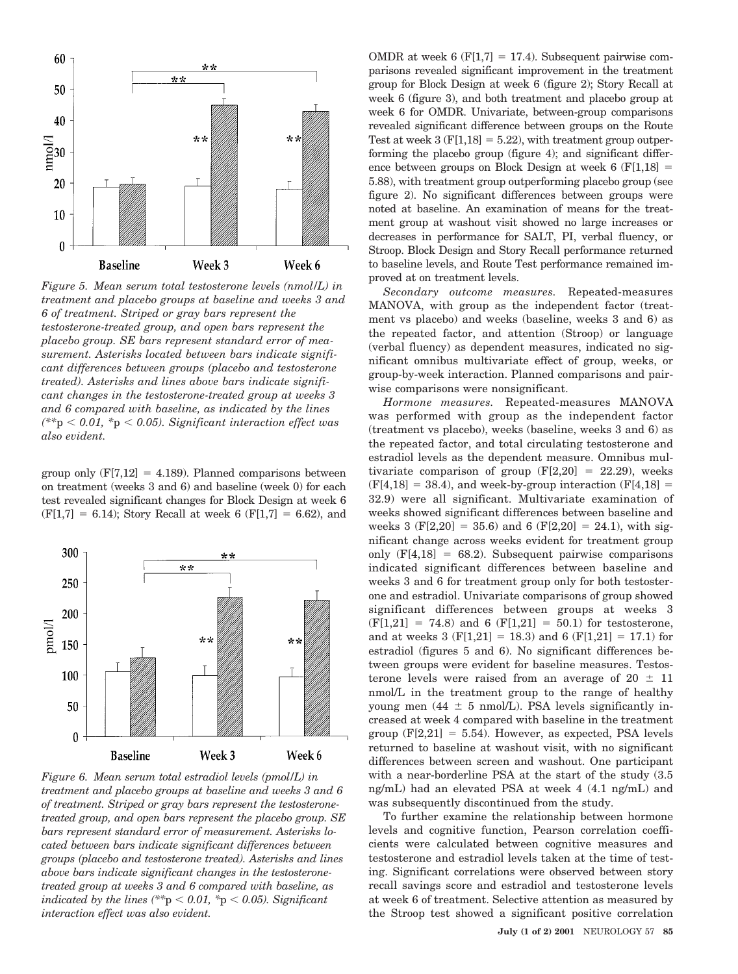

*Figure 5. Mean serum total testosterone levels (nmol/L) in treatment and placebo groups at baseline and weeks 3 and 6 of treatment. Striped or gray bars represent the testosterone-treated group, and open bars represent the placebo group. SE bars represent standard error of measurement. Asterisks located between bars indicate significant differences between groups (placebo and testosterone treated). Asterisks and lines above bars indicate significant changes in the testosterone-treated group at weeks 3 and 6 compared with baseline, as indicated by the lines*  $(*p < 0.01, *p < 0.05)$ . Significant interaction effect was *also evident.*

group only  $(F[7,12] = 4.189)$ . Planned comparisons between on treatment (weeks 3 and 6) and baseline (week 0) for each test revealed significant changes for Block Design at week 6  $(F[1,7] = 6.14)$ ; Story Recall at week 6  $(F[1,7] = 6.62)$ , and



*Figure 6. Mean serum total estradiol levels (pmol/L) in treatment and placebo groups at baseline and weeks 3 and 6 of treatment. Striped or gray bars represent the testosteronetreated group, and open bars represent the placebo group. SE bars represent standard error of measurement. Asterisks located between bars indicate significant differences between groups (placebo and testosterone treated). Asterisks and lines above bars indicate significant changes in the testosteronetreated group at weeks 3 and 6 compared with baseline, as indicated by the lines*  $(*p < 0.01, *p < 0.05)$ . Significant *interaction effect was also evident.*

OMDR at week 6 (F[1,7] = 17.4). Subsequent pairwise comparisons revealed significant improvement in the treatment group for Block Design at week 6 (figure 2); Story Recall at week 6 (figure 3), and both treatment and placebo group at week 6 for OMDR. Univariate, between-group comparisons revealed significant difference between groups on the Route Test at week  $3(F[1,18] = 5.22)$ , with treatment group outperforming the placebo group (figure 4); and significant difference between groups on Block Design at week 6  $(F[1,18]) =$ 5.88), with treatment group outperforming placebo group (see figure 2). No significant differences between groups were noted at baseline. An examination of means for the treatment group at washout visit showed no large increases or decreases in performance for SALT, PI, verbal fluency, or Stroop. Block Design and Story Recall performance returned to baseline levels, and Route Test performance remained improved at on treatment levels.

*Secondary outcome measures.* Repeated-measures MANOVA, with group as the independent factor (treatment vs placebo) and weeks (baseline, weeks 3 and 6) as the repeated factor, and attention (Stroop) or language (verbal fluency) as dependent measures, indicated no significant omnibus multivariate effect of group, weeks, or group-by-week interaction. Planned comparisons and pairwise comparisons were nonsignificant.

*Hormone measures.* Repeated-measures MANOVA was performed with group as the independent factor (treatment vs placebo), weeks (baseline, weeks 3 and 6) as the repeated factor, and total circulating testosterone and estradiol levels as the dependent measure. Omnibus multivariate comparison of group  $(F[2,20] = 22.29)$ , weeks  $(F[4,18] = 38.4)$ , and week-by-group interaction  $(F[4,18] =$ 32.9) were all significant. Multivariate examination of weeks showed significant differences between baseline and weeks 3 (F[2,20] = 35.6) and 6 (F[2,20] = 24.1), with significant change across weeks evident for treatment group only  $(F[4,18] = 68.2)$ . Subsequent pairwise comparisons indicated significant differences between baseline and weeks 3 and 6 for treatment group only for both testosterone and estradiol. Univariate comparisons of group showed significant differences between groups at weeks 3  $(F[1,21] = 74.8)$  and 6  $(F[1,21] = 50.1)$  for testosterone, and at weeks 3 (F[1,21] = 18.3) and 6 (F[1,21] = 17.1) for estradiol (figures 5 and 6). No significant differences between groups were evident for baseline measures. Testosterone levels were raised from an average of  $20 \pm 11$ nmol/L in the treatment group to the range of healthy young men (44  $\pm$  5 nmol/L). PSA levels significantly increased at week 4 compared with baseline in the treatment group  $(F[2,21] = 5.54)$ . However, as expected, PSA levels returned to baseline at washout visit, with no significant differences between screen and washout. One participant with a near-borderline PSA at the start of the study (3.5 ng/mL) had an elevated PSA at week 4 (4.1 ng/mL) and was subsequently discontinued from the study.

To further examine the relationship between hormone levels and cognitive function, Pearson correlation coefficients were calculated between cognitive measures and testosterone and estradiol levels taken at the time of testing. Significant correlations were observed between story recall savings score and estradiol and testosterone levels at week 6 of treatment. Selective attention as measured by the Stroop test showed a significant positive correlation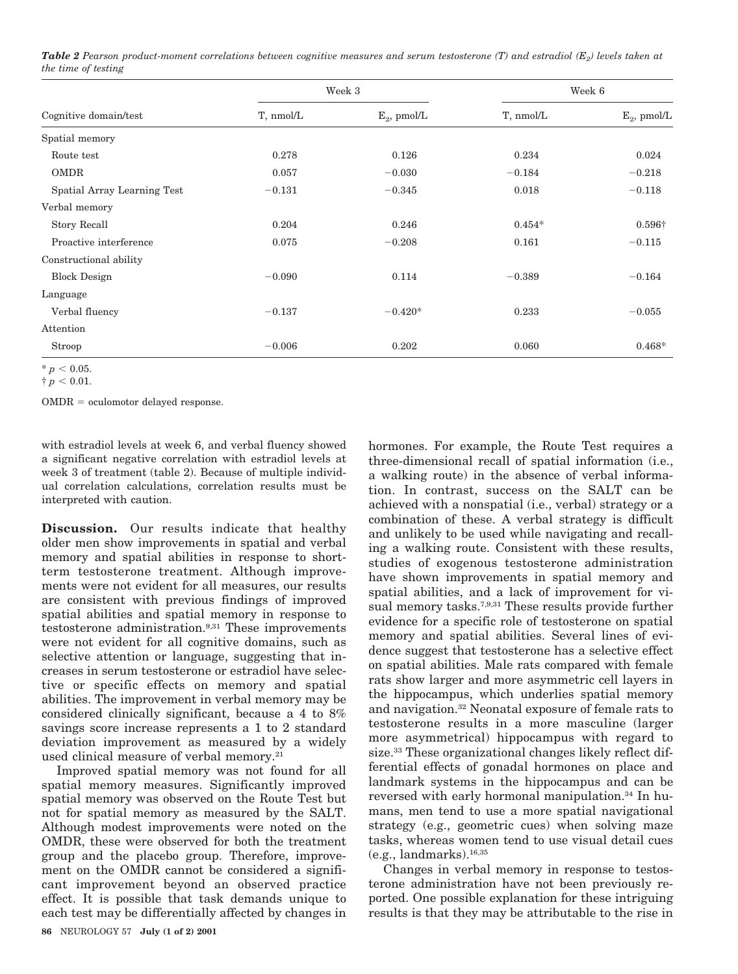*Table 2 Pearson product-moment correlations between cognitive measures and serum testosterone (T) and estradiol (E<sub>2</sub>) levels taken at the time of testing*

| Cognitive domain/test       | Week 3    |                | Week 6    |                |
|-----------------------------|-----------|----------------|-----------|----------------|
|                             | T, nmol/L | $E_2$ , pmol/L | T, nmol/L | $E_2$ , pmol/L |
| Spatial memory              |           |                |           |                |
| Route test                  | 0.278     | 0.126          | 0.234     | 0.024          |
| <b>OMDR</b>                 | 0.057     | $-0.030$       | $-0.184$  | $-0.218$       |
| Spatial Array Learning Test | $-0.131$  | $-0.345$       | 0.018     | $-0.118$       |
| Verbal memory               |           |                |           |                |
| Story Recall                | 0.204     | 0.246          | $0.454*$  | $0.596\dagger$ |
| Proactive interference      | 0.075     | $-0.208$       | 0.161     | $-0.115$       |
| Constructional ability      |           |                |           |                |
| <b>Block Design</b>         | $-0.090$  | 0.114          | $-0.389$  | $-0.164$       |
| Language                    |           |                |           |                |
| Verbal fluency              | $-0.137$  | $-0.420*$      | 0.233     | $-0.055$       |
| Attention                   |           |                |           |                |
| Stroop                      | $-0.006$  | 0.202          | 0.060     | $0.468*$       |

 $* p < 0.05.$ 

 $\dagger p < 0.01$ .

 $OMDR = \alpha$ culomotor delayed response.

with estradiol levels at week 6, and verbal fluency showed a significant negative correlation with estradiol levels at week 3 of treatment (table 2). Because of multiple individual correlation calculations, correlation results must be interpreted with caution.

**Discussion.** Our results indicate that healthy older men show improvements in spatial and verbal memory and spatial abilities in response to shortterm testosterone treatment. Although improvements were not evident for all measures, our results are consistent with previous findings of improved spatial abilities and spatial memory in response to testosterone administration.9,31 These improvements were not evident for all cognitive domains, such as selective attention or language, suggesting that increases in serum testosterone or estradiol have selective or specific effects on memory and spatial abilities. The improvement in verbal memory may be considered clinically significant, because a 4 to 8% savings score increase represents a 1 to 2 standard deviation improvement as measured by a widely used clinical measure of verbal memory.<sup>21</sup>

Improved spatial memory was not found for all spatial memory measures. Significantly improved spatial memory was observed on the Route Test but not for spatial memory as measured by the SALT. Although modest improvements were noted on the OMDR, these were observed for both the treatment group and the placebo group. Therefore, improvement on the OMDR cannot be considered a significant improvement beyond an observed practice effect. It is possible that task demands unique to each test may be differentially affected by changes in

hormones. For example, the Route Test requires a three-dimensional recall of spatial information (i.e., a walking route) in the absence of verbal information. In contrast, success on the SALT can be achieved with a nonspatial (i.e., verbal) strategy or a combination of these. A verbal strategy is difficult and unlikely to be used while navigating and recalling a walking route. Consistent with these results, studies of exogenous testosterone administration have shown improvements in spatial memory and spatial abilities, and a lack of improvement for visual memory tasks.<sup>7,9,31</sup> These results provide further evidence for a specific role of testosterone on spatial memory and spatial abilities. Several lines of evidence suggest that testosterone has a selective effect on spatial abilities. Male rats compared with female rats show larger and more asymmetric cell layers in the hippocampus, which underlies spatial memory and navigation.32 Neonatal exposure of female rats to testosterone results in a more masculine (larger more asymmetrical) hippocampus with regard to size.33 These organizational changes likely reflect differential effects of gonadal hormones on place and landmark systems in the hippocampus and can be reversed with early hormonal manipulation.34 In humans, men tend to use a more spatial navigational strategy (e.g., geometric cues) when solving maze tasks, whereas women tend to use visual detail cues  $(e.g., landmarks).$ <sup>16,35</sup>

Changes in verbal memory in response to testosterone administration have not been previously reported. One possible explanation for these intriguing results is that they may be attributable to the rise in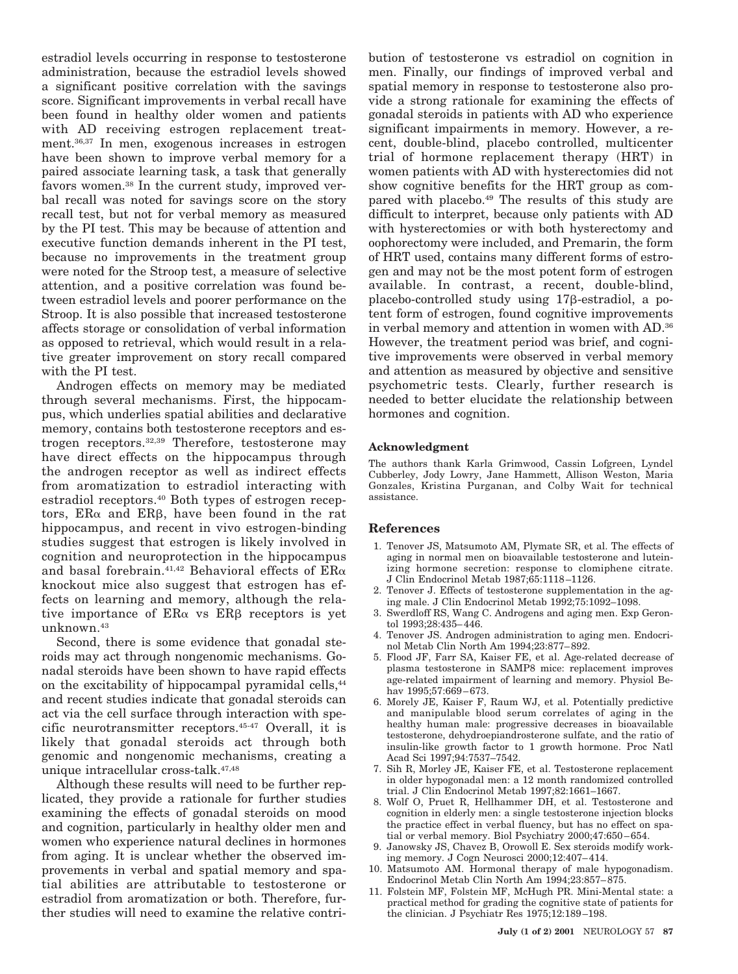estradiol levels occurring in response to testosterone administration, because the estradiol levels showed a significant positive correlation with the savings score. Significant improvements in verbal recall have been found in healthy older women and patients with AD receiving estrogen replacement treatment.36,37 In men, exogenous increases in estrogen have been shown to improve verbal memory for a paired associate learning task, a task that generally favors women.38 In the current study, improved verbal recall was noted for savings score on the story recall test, but not for verbal memory as measured by the PI test. This may be because of attention and executive function demands inherent in the PI test, because no improvements in the treatment group were noted for the Stroop test, a measure of selective attention, and a positive correlation was found between estradiol levels and poorer performance on the Stroop. It is also possible that increased testosterone affects storage or consolidation of verbal information as opposed to retrieval, which would result in a relative greater improvement on story recall compared with the PI test.

Androgen effects on memory may be mediated through several mechanisms. First, the hippocampus, which underlies spatial abilities and declarative memory, contains both testosterone receptors and estrogen receptors.32,39 Therefore, testosterone may have direct effects on the hippocampus through the androgen receptor as well as indirect effects from aromatization to estradiol interacting with estradiol receptors.40 Both types of estrogen receptors,  $ER\alpha$  and  $ER\beta$ , have been found in the rat hippocampus, and recent in vivo estrogen-binding studies suggest that estrogen is likely involved in cognition and neuroprotection in the hippocampus and basal forebrain.<sup>41,42</sup> Behavioral effects of  $ER\alpha$ knockout mice also suggest that estrogen has effects on learning and memory, although the relative importance of  $ER\alpha$  vs  $ER\beta$  receptors is yet unknown.43

Second, there is some evidence that gonadal steroids may act through nongenomic mechanisms. Gonadal steroids have been shown to have rapid effects on the excitability of hippocampal pyramidal cells,44 and recent studies indicate that gonadal steroids can act via the cell surface through interaction with specific neurotransmitter receptors.45-47 Overall, it is likely that gonadal steroids act through both genomic and nongenomic mechanisms, creating a unique intracellular cross-talk.47,48

Although these results will need to be further replicated, they provide a rationale for further studies examining the effects of gonadal steroids on mood and cognition, particularly in healthy older men and women who experience natural declines in hormones from aging. It is unclear whether the observed improvements in verbal and spatial memory and spatial abilities are attributable to testosterone or estradiol from aromatization or both. Therefore, further studies will need to examine the relative contribution of testosterone vs estradiol on cognition in men. Finally, our findings of improved verbal and spatial memory in response to testosterone also provide a strong rationale for examining the effects of gonadal steroids in patients with AD who experience significant impairments in memory. However, a recent, double-blind, placebo controlled, multicenter trial of hormone replacement therapy (HRT) in women patients with AD with hysterectomies did not show cognitive benefits for the HRT group as compared with placebo.49 The results of this study are difficult to interpret, because only patients with AD with hysterectomies or with both hysterectomy and oophorectomy were included, and Premarin, the form of HRT used, contains many different forms of estrogen and may not be the most potent form of estrogen available. In contrast, a recent, double-blind, placebo-controlled study using 17b-estradiol, a potent form of estrogen, found cognitive improvements in verbal memory and attention in women with AD.36 However, the treatment period was brief, and cognitive improvements were observed in verbal memory and attention as measured by objective and sensitive psychometric tests. Clearly, further research is needed to better elucidate the relationship between hormones and cognition.

## **Acknowledgment**

The authors thank Karla Grimwood, Cassin Lofgreen, Lyndel Cubberley, Jody Lowry, Jane Hammett, Allison Weston, Maria Gonzales, Kristina Purganan, and Colby Wait for technical assistance.

## **References**

- 1. Tenover JS, Matsumoto AM, Plymate SR, et al. The effects of aging in normal men on bioavailable testosterone and luteinizing hormone secretion: response to clomiphene citrate. J Clin Endocrinol Metab 1987;65:1118–1126.
- 2. Tenover J. Effects of testosterone supplementation in the aging male. J Clin Endocrinol Metab 1992;75:1092–1098.
- 3. Swerdloff RS, Wang C. Androgens and aging men. Exp Gerontol 1993;28:435–446.
- 4. Tenover JS. Androgen administration to aging men. Endocrinol Metab Clin North Am 1994;23:877–892.
- 5. Flood JF, Farr SA, Kaiser FE, et al. Age-related decrease of plasma testosterone in SAMP8 mice: replacement improves age-related impairment of learning and memory. Physiol Behav 1995;57:669-673.
- 6. Morely JE, Kaiser F, Raum WJ, et al. Potentially predictive and manipulable blood serum correlates of aging in the healthy human male: progressive decreases in bioavailable testosterone, dehydroepiandrosterone sulfate, and the ratio of insulin-like growth factor to 1 growth hormone. Proc Natl Acad Sci 1997;94:7537–7542.
- 7. Sih R, Morley JE, Kaiser FE, et al. Testosterone replacement in older hypogonadal men: a 12 month randomized controlled trial. J Clin Endocrinol Metab 1997;82:1661–1667.
- 8. Wolf O, Pruet R, Hellhammer DH, et al. Testosterone and cognition in elderly men: a single testosterone injection blocks the practice effect in verbal fluency, but has no effect on spatial or verbal memory. Biol Psychiatry 2000;47:650–654.
- 9. Janowsky JS, Chavez B, Orowoll E. Sex steroids modify working memory. J Cogn Neurosci 2000;12:407–414.
- 10. Matsumoto AM. Hormonal therapy of male hypogonadism. Endocrinol Metab Clin North Am 1994;23:857–875.
- 11. Folstein MF, Folstein MF, McHugh PR. Mini-Mental state: a practical method for grading the cognitive state of patients for the clinician. J Psychiatr Res 1975;12:189–198.